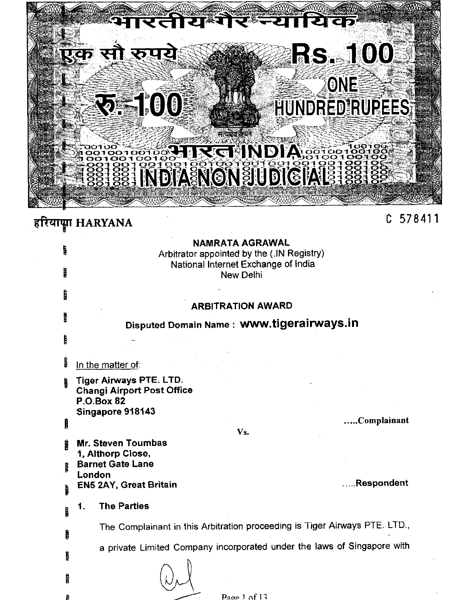| <u> एक सौ रूपये</u> | भारतीय गैर न्यायिक<br><b>RE100</b><br>ৰান্মঘৰ ৷                |                                     | <b>RS. 100</b><br>ONE<br>HUNDRED RUPEES |        |
|---------------------|----------------------------------------------------------------|-------------------------------------|-----------------------------------------|--------|
| हरियाप्ता HARYANA   | NAMRATA AGRAWAL                                                |                                     |                                         | 578411 |
| Ů<br>ika.           | Arbitrator appointed by the (.IN Registry)<br><b>New Delhi</b> | National Internet Exchange of India |                                         |        |

# **ARBITRATION AWARD**

Disputed Domain Name: www.tigerairways.in

Vs.

**CARD** In the matter of:

Tiger Airways PTE. LTD. h **Changi Airport Post Office P.O.Box 82** Singapore 918143

 $\mathbb{R}^2$ 

Ķ.

Ê

i.

.....Complainant

- Mr. Steven Toumbas 1, Althorp Close, **Barnet Gate Lane** London
- **EN5 2AY, Great Britain**

....Respondent

#### 1. **The Parties**

The Complainant in this Arbitration proceeding is Tiger Airways PTE. LTD., a private Limited Company incorporated under the laws of Singapore with

| ٠.<br>L |  |
|---------|--|
| Ţ       |  |
|         |  |

Page 1 of  $13$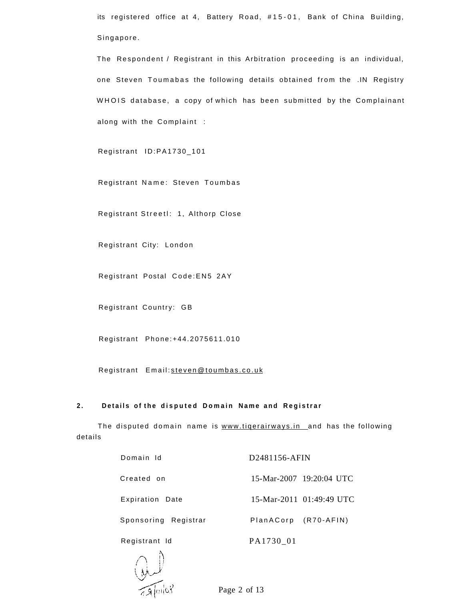its registered office at 4, Battery Road, #15-01, Bank of China Building, Singapore .

The Respondent / Registrant in this Arbitration proceeding is an individual, one Steven Toumabas the following details obtained from the .IN Registry WHOIS database, a copy of which has been submitted by the Complainant along with the Complaint :

Registrant ID:PA1730\_10 1

Registrant Name: Steven Toumbas

Registrant Streetl: 1, Althorp Close

Registrant City: London

Registrant Postal Code: EN5 2AY

Registrant Country: GB

Registrant Phone:+44.2075611.01 0

Registrant Email: [steven@toumbas.co.u](mailto:steven@toumbas.co.uk)k

### **2 . Detail s o f th e dispute d Domai n Nam e an d Registra r**

The disputed domain name is www.tigerairways.in and has the following details

| Domain Id<br>D2481156-AFIN |                      |                          |  |
|----------------------------|----------------------|--------------------------|--|
| Created on                 |                      | 15-Mar-2007 19:20:04 UTC |  |
| Expiration Date            |                      | 15-Mar-2011 01:49:49 UTC |  |
| Sponsoring Registrar       | PlanACorp (R70-AFIN) |                          |  |
| Registrant Id              | PA1730 01            |                          |  |



Page 2 of 13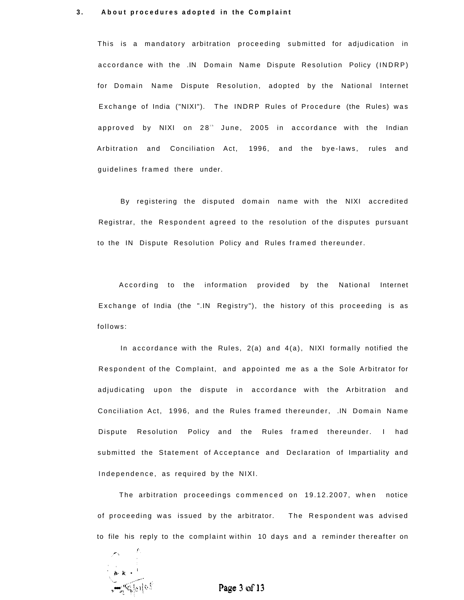#### **3.** About procedures adopted in the Complaint

This is a mandatory arbitration proceeding submitted for adjudication in accordance with the .IN Domain Name Dispute Resolution Policy (INDRP) for Domain Name Dispute Resolution, adopted by the National Internet Exchange of India ("NIXI"). The INDRP Rules of Procedure (the Rules) was approved by NIXI on 28<sup>th</sup> June, 2005 in accordance with the Indian Arbitration and Conciliation Act, 1996, and the bye-laws, rules and guidelines framed there under.

By registering the disputed domain name with the NIXI accredited Registrar, the Respondent agreed to the resolution of the disputes pursuant to the IN Dispute Resolution Policy and Rules framed thereunder.

According to the information provided by the National Internet Exchange of India (the ".IN Registry"), the history of this proceeding is as follows :

In accordance with the Rules,  $2(a)$  and  $4(a)$ , NIXI formally notified the Respondent of the Complaint, and appointed me as a the Sole Arbitrator for adjudicating upon the dispute in accordance with the Arbitration and Conciliation Act, 1996, and the Rules framed thereunder, .IN Domain Name Dispute Resolution Policy and the Rules framed thereunder. I had submitted the Statement of Acceptance and Declaration of Impartiality and Independence, as required by the NIXI.

The arbitration proceedings commenced on 19.12.2007, when notice of proceeding was issued by the arbitrator. The Respondent was advised to file his reply to the complaint within 10 days and a reminder thereafter on

h- k •

Page 3 of 13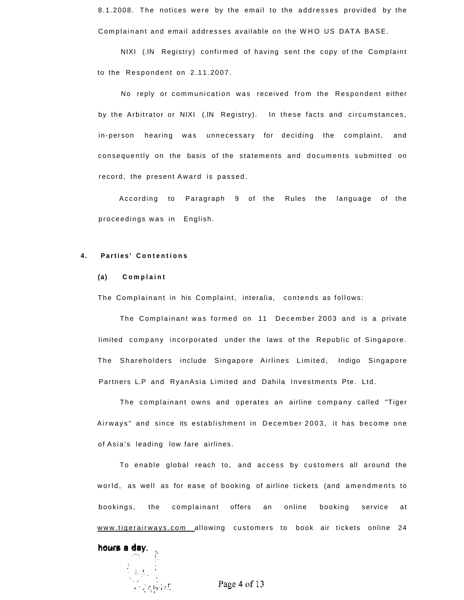8.1.2008. The notices were by the email to the addresses provided by the Complainant and email addresses available on the WHO US DATA BASE.

NIXI (.IN Registry) confirmed of having sent the copy of the Complaint to the Respondent on 2.11.2007.

No reply or communication was received from the Respondent either by the Arbitrator or NIXI (.IN Registry). In these facts and circumstances, in-person hearing was unnecessary for deciding the complaint, and consequently on the basis of the statements and documents submitted on record, the present Award is passed.

According to Paragraph 9 of the Rules the language of the proceedings was in English.

#### **4 . Parties ' Contention s**

#### **(a) Complain t**

The Complainant in his Complaint, interalia, contends as follows:

The Complainant was formed on 11 December 2003 and is a private limited company incorporated under the laws of the Republic of Singapore. The Shareholders include Singapore Airlines Limited, Indigo Singapore Partners L.P and RyanAsia Limited and Dahila Investments Pte. Ltd.

The complainant owns and operates an airline company called "Tiger Airways" and since its establishment in December 2003, it has become one of Asia's leading low fare airlines.

To enable global reach to, and access by customers all around the world, as well as for ease of booking of airline tickets (and amendments to bookings, the complainant offers an online booking service at [www.tigerairways.co](http://www.tigerairways.com)m allowing customers to book air tickets online 24

hours a day.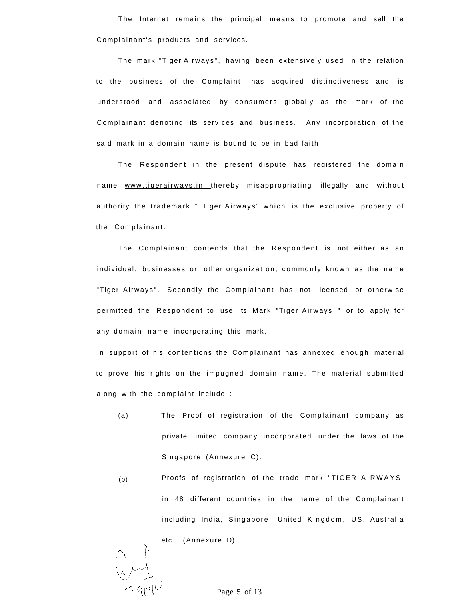The Internet remains the principal means to promote and sell the Complainant's products and services.

The mark "Tiger Airways", having been extensively used in the relation to the business of the Complaint, has acquired distinctiveness and is understood and associated by consumers globally as the mark of the Complainant denoting its services and business. Any incorporation of the said mark in a domain name is bound to be in bad faith.

The Respondent in the present dispute has registered the domain name [www.tiqerairways.i](http://www.tiqerairways.in)n thereby misappropriating illegally and without authority the trademark " Tiger Airways" which is the exclusive property of the Complainant.

The Complainant contends that the Respondent is not either as an individual, businesses or other organization, commonly known as the name "Tiger Airways". Secondly the Complainant has not licensed or otherwise permitted the Respondent to use its Mark "Tiger Airways " or to apply for any domain name incorporating this mark.

In support of his contentions the Complainant has annexed enough material to prove his rights on the impugned domain name. The material submitted along with the complaint include :

- (a) The Proof of registration of the Complainant company as private limited company incorporated under the laws of the Singapore (Annexure C).
- (b) Proofs of registration of the trade mark "TIGER AIRWAYS in 48 different countries in the name of the Complainant including India, Singapore, United Kingdom, US, Australia

etc. (Annexure D).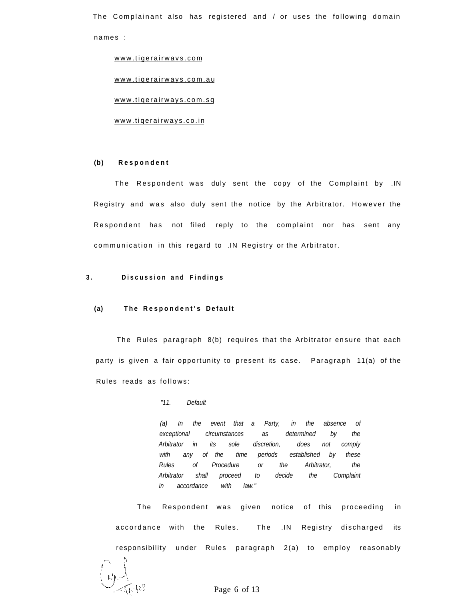The Complainant also has registered and / or uses the following domain names :

[www.tigerairwavs.co](http://www.tigerairwavs.com)m

[www.tiqerairways.com.a](http://www.tiqerairways.com.au) u

[www.tiqerairways.com.s](http://www.tiqerairways.com.sq)q

[www.tiqerairways.co.i](http://www.tiqerairways.co.in)n

# **(b) Responden t**

The Respondent was duly sent the copy of the Complaint by .IN Registry and was also duly sent the notice by the Arbitrator. However the Respondent has not filed reply to the complaint nor has sent any communication in this regard to .IN Registry or the Arbitrator.

# **3 . Discussio n an d Finding s**

# **(a)** The Respondent's Default

The Rules paragraph 8(b) requires that the Arbitrator ensure that each party is given a fair opportunity to present its case. Paragraph 11(a) of the Rules reads as follows :

#### "11. Default

(a) In the event that a Party, in the absence of exceptional circumstances as determined by the Arbitrator in its sole discretion, does not comply with any of the time periods established by these Rules of Procedure or the Arbitrator, the Arbitrator shall proceed to decide the Complaint in accordance with law."

The Respondent was given notice of this proceeding in accordance with the Rules. The .IN Registry discharged its responsibility under Rules paragraph 2(a) to employ reasonably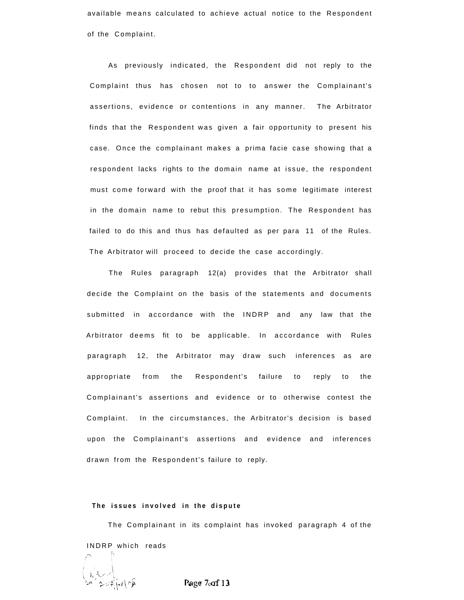available means calculated to achieve actual notice to the Respondent of the Complaint.

As previously indicated, the Respondent did not reply to the Complaint thus has chosen not to to answer the Complainant's assertions, evidence or contentions in any manner. The Arbitrator finds that the Respondent was given a fair opportunity to present his case. Once the complainant makes a prima facie case showing that a respondent lacks rights to the domain name at issue, the respondent must come forward with the proof that it has some legitimate interest in the domain name to rebut this presumption. The Respondent has failed to do this and thus has defaulted as per para 11 of the Rules. The Arbitrator will proceed to decide the case accordingly.

The Rules paragraph  $12(a)$  provides that the Arbitrator shall decide the Complaint on the basis of the statements and documents submitted in accordance with the INDRP and any law that the Arbitrator deems fit to be applicable. In accordance with Rules paragraph 12, the Arbitrator may draw such inferences as are appropriate from the Respondent's failure to reply to the Complainant's assertions and evidence or to otherwise contest the Complaint. In the circumstances, the Arbitrator's decision is based upon the Complainant's assertions and evidence and inferences drawn from the Respondent's failure to reply.

#### **The issues involved in the dispute**

The Complainant in its complaint has invoked paragraph 4 of the INDRP which reads

Page 7of 13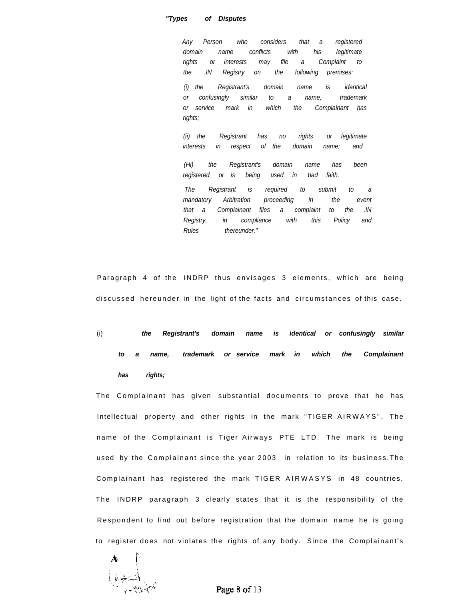# **"Types of Disputes**

Any Person who considers that a registered domain name conflicts with his legitimate rights or interests may file a Complaint to the .IN Registry on the following premises:

(i) the Registrant's domain name is identical or confusingly similar to a name, trademark or service mark in which the Complainant has rights;

(ii) the Registrant has no rights or legitimate interests in respect of the domain name; and

(Hi) the Registrant's domain name has been registered or is being used in bad faith.

The Registrant is required to submit to a mandatory Arbitration proceeding in the event that a Complainant files a complaint to the .IN Registry, in compliance with this Policy and Rules thereunder."

Paragraph 4 of the INDRP thus envisages 3 elements, which are being discussed hereunder in the light of the facts and circumstances of this case.

(i) **the Registrant's domain name is identical or confusingly similar to a name, trademark or service mark in which the Complainant has rights;** 

The Complainant has given substantial documents to prove that he has Intellectual property and other rights in the mark "TIGER AIRWAYS". The name of the Complainant is Tiger Airways PTE LTD. The mark is being used by the Complainant since the year 2003 in relation to its business. The Complainant has registered the mark TIGER AIRWASYS in 48 countries. The INDRP paragraph 3 clearly states that it is the responsibility of the Respondent to find out before registration that the domain name he is going to register does not violates the rights of any body. Since the Complainant's

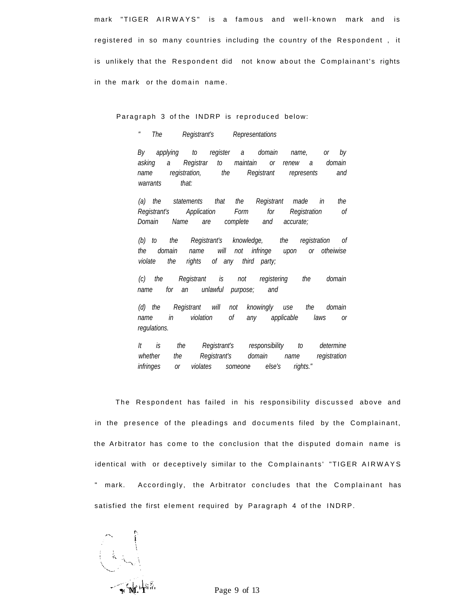mark "TIGER AIRWAYS" is a famous and well-known mark and is registered in so many countries including the country of the Respondent, it is unlikely that the Respondent did not know about the Complainant's rights in the mark or the domain name.

Paragraph 3 of the INDRP is reproduced below:

" The Registrant's Representations

By applying to register a domain name, or by asking a Registrar to maintain or renew a domain name registration, the Registrant represents and warrants that:

(a) the statements that the Registrant made in the Registrant's Application Form for Registration of Domain Name are complete and accurate;

(b) to the Registrant's knowledge, the registration of the domain name will not infringe upon or otheiwise violate the rights of any third party;

(c) the Registrant is not registering the domain name for an unlawful purpose; and

(d) the Registrant will not knowingly use the domain name in violation of any applicable laws or regulations.

It is the Registrant's responsibility to determine whether the Registrant's domain name registration infringes or violates someone else's rights."

The Respondent has failed in his responsibility discussed above and in the presence of the pleadings and documents filed by the Complainant, the Arbitrator has come to the conclusion that the disputed domain name is identical with or deceptively similar to the Complainants' "TIGER AIRWAYS " mark. Accordingly, the Arbitrator concludes that the Complainant has satisfied the first element required by Paragraph 4 of the INDRP.

i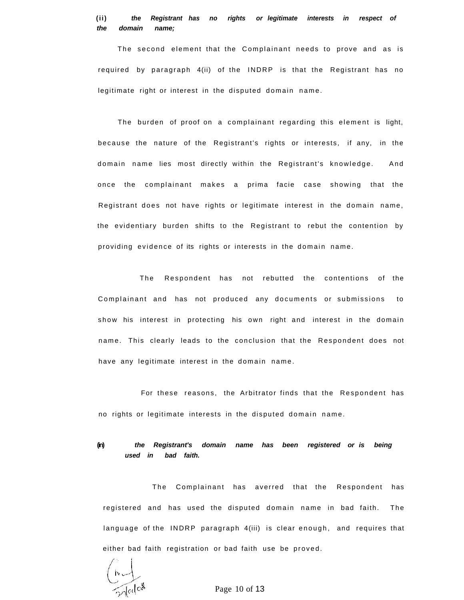# **(ii) the Registrant has no rights or legitimate interests in respect of the domain name;**

The second element that the Complainant needs to prove and as is required by paragraph  $4(ii)$  of the INDRP is that the Registrant has no legitimate right or interest in the disputed domain name.

The burden of proof on a complainant regarding this element is light, because the nature of the Registrant's rights or interests, if any, in the domain name lies most directly within the Registrant's knowledge. And once the complainant makes a prima facie case showing that the Registrant does not have rights or legitimate interest in the domain name, the evidentiary burden shifts to the Registrant to rebut the contention by providing evidence of its rights or interests in the domain name.

The Respondent has not rebutted the contentions of the Complainant and has not produced any documents or submissions to show his interest in protecting his own right and interest in the domain name. This clearly leads to the conclusion that the Respondent does not have any legitimate interest in the domain name.

For these reasons, the Arbitrator finds that the Respondent has no rights or legitimate interests in the disputed domain name.

# **(in) the Registrant's domain name has been registered or is being used in bad faith.**

The Complainant has averred that the Respondent has registered and has used the disputed domain name in bad faith. The language of the INDRP paragraph 4(iii) is clear enough, and requires that either bad faith registration or bad faith use be proved.

Talo\$

Page 10 of 13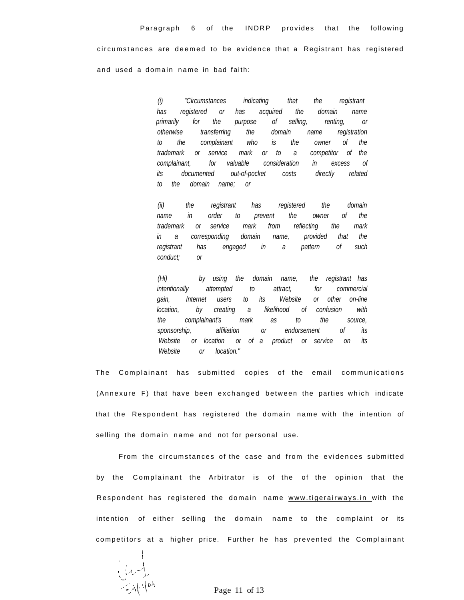circumstances are deemed to be evidence that a Registrant has registered and used a domain name in bad faith:

> has registered or has acquired the domain name primarily for the purpose of selling, renting, or otherwise transferring the domain name registration to the complainant who is the owner of the trademark or service mark or to a competitor of the complainant, for valuable consideration in excess of its documented out-of-pocket costs directly related to the domain name; or (i) "Circumstances indicating that the registrant

> (ii) the registrant has registered the domain name in order to prevent the owner of the trademark or service mark from reflecting the mark in a corresponding domain name, provided that the registrant has engaged in a pattern of such conduct; or

> (Hi) by using the domain name, the registrant has intentionally attempted to attract, for commercial gain, Internet users to its Website or other on-line location, by creating a likelihood of confusion with the complainant's mark as to the source, sponsorship, affiliation or endorsement of its Website or location or of a product or service on its Website or location."

The Complainant has submitted copies of the email communications (Annexure F) that have been exchanged between the parties which indicate that the Respondent has registered the domain name with the intention of selling the domain name and not for personal use.

From the circumstances of the case and from the evidences submitted by the Complainant the Arbitrator is of the of the opinion that the Respondent has registered the domain name [www.tigerairways.i](http://www.tigerairways.in)n with the intention of either selling the domain name to the complaint or its competitors at a higher price. Further he has prevented the Complainant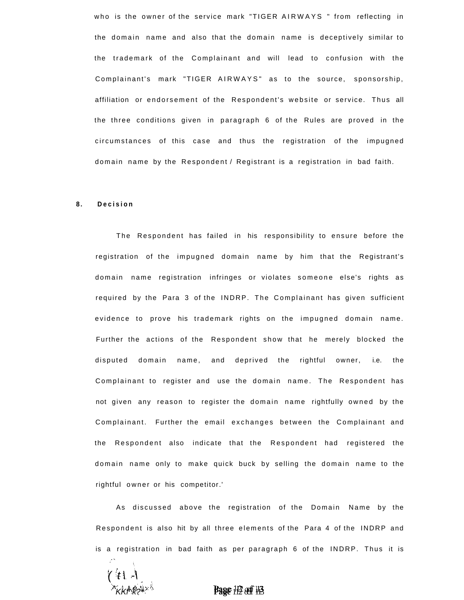who is the owner of the service mark "TIGER AIRWAYS " from reflecting in the domain name and also that the domain name is deceptively similar to the trademark of the Complainant and will lead to confusion with the Complainant's mark "TIGER AIRWAYS" as to the source, sponsorship, affiliation or endorsement of the Respondent's website or service. Thus all the three conditions given in paragraph 6 of the Rules are proved in the circumstances of this case and thus the registration of the impugned domain name by the Respondent / Registrant is a registration in bad faith.

#### **8. Decisio n**

The Respondent has failed in his responsibility to ensure before the registration of the impugned domain name by him that the Registrant's domain name registration infringes or violates someone else's rights as required by the Para 3 of the INDRP. The Complainant has given sufficient evidence to prove his trademark rights on the impugned domain name. Further the actions of the Respondent show that he merely blocked the disputed domain name, and deprived the rightful owner, i.e. the Complainant to register and use the domain name. The Respondent has not given any reason to register the domain name rightfully owned by the Complainant. Further the email exchanges between the Complainant and the Respondent also indicate that the Respondent had registered the domain name only to make quick buck by selling the domain name to the rightful owner or his competitor.'

As discussed above the registration of the Domain Name by the Respondent is also hit by all three elements of the Para 4 of the INDRP and is a registration in bad faith as per paragraph 6 of the INDRP. Thus it is

 $\left| l \cdot l$  t  $\right|$ v

KKf^k?**\* Page** 112 ocff 113